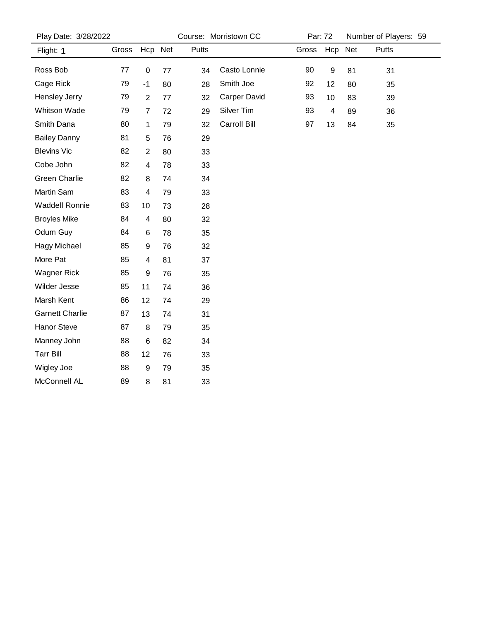| Play Date: 3/28/2022   |       |                |    | Course: Morristown CC |              |       | Par: 72          | Number of Players: 59 |       |  |
|------------------------|-------|----------------|----|-----------------------|--------------|-------|------------------|-----------------------|-------|--|
| Flight: 1              | Gross | Hcp Net        |    | Putts                 |              | Gross | Hcp              | Net                   | Putts |  |
| Ross Bob               | 77    | $\mathbf 0$    | 77 | 34                    | Casto Lonnie | 90    | $\boldsymbol{9}$ | 81                    | 31    |  |
| Cage Rick              | 79    | $-1$           | 80 | 28                    | Smith Joe    | 92    | 12               | 80                    | 35    |  |
| Hensley Jerry          | 79    | $\overline{2}$ | 77 | 32                    | Carper David | 93    | 10               | 83                    | 39    |  |
| Whitson Wade           | 79    | $\overline{7}$ | 72 | 29                    | Silver Tim   | 93    | $\overline{4}$   | 89                    | 36    |  |
| Smith Dana             | 80    | 1              | 79 | 32                    | Carroll Bill | 97    | 13               | 84                    | 35    |  |
| <b>Bailey Danny</b>    | 81    | 5              | 76 | 29                    |              |       |                  |                       |       |  |
| <b>Blevins Vic</b>     | 82    | $\overline{2}$ | 80 | 33                    |              |       |                  |                       |       |  |
| Cobe John              | 82    | 4              | 78 | 33                    |              |       |                  |                       |       |  |
| <b>Green Charlie</b>   | 82    | 8              | 74 | 34                    |              |       |                  |                       |       |  |
| Martin Sam             | 83    | 4              | 79 | 33                    |              |       |                  |                       |       |  |
| <b>Waddell Ronnie</b>  | 83    | 10             | 73 | 28                    |              |       |                  |                       |       |  |
| <b>Broyles Mike</b>    | 84    | 4              | 80 | 32                    |              |       |                  |                       |       |  |
| Odum Guy               | 84    | 6              | 78 | 35                    |              |       |                  |                       |       |  |
| <b>Hagy Michael</b>    | 85    | 9              | 76 | 32                    |              |       |                  |                       |       |  |
| More Pat               | 85    | 4              | 81 | 37                    |              |       |                  |                       |       |  |
| <b>Wagner Rick</b>     | 85    | 9              | 76 | 35                    |              |       |                  |                       |       |  |
| Wilder Jesse           | 85    | 11             | 74 | 36                    |              |       |                  |                       |       |  |
| Marsh Kent             | 86    | 12             | 74 | 29                    |              |       |                  |                       |       |  |
| <b>Garnett Charlie</b> | 87    | 13             | 74 | 31                    |              |       |                  |                       |       |  |
| <b>Hanor Steve</b>     | 87    | 8              | 79 | 35                    |              |       |                  |                       |       |  |
| Manney John            | 88    | 6              | 82 | 34                    |              |       |                  |                       |       |  |
| <b>Tarr Bill</b>       | 88    | 12             | 76 | 33                    |              |       |                  |                       |       |  |
| Wigley Joe             | 88    | 9              | 79 | 35                    |              |       |                  |                       |       |  |
| McConnell AL           | 89    | 8              | 81 | 33                    |              |       |                  |                       |       |  |